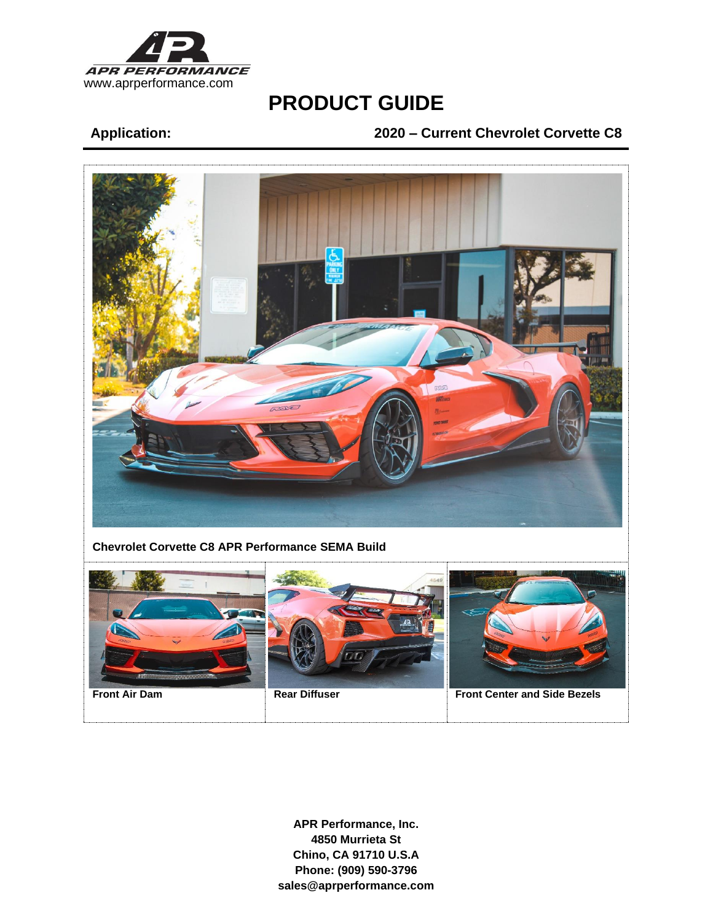

### **Application: 2020 – Current Chevrolet Corvette C8**

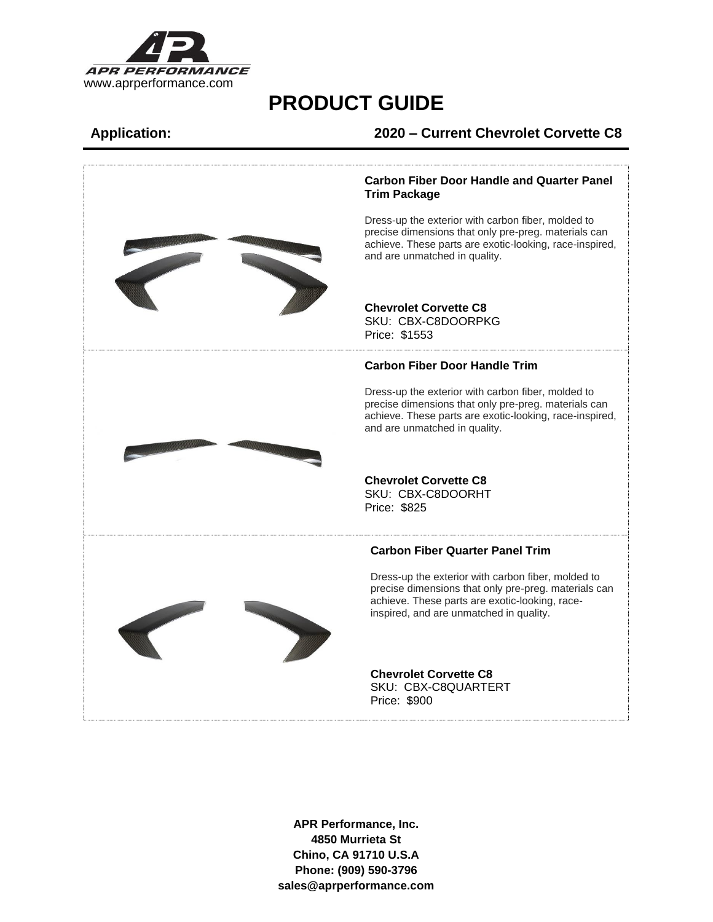

### **Application: 2020 – Current Chevrolet Corvette C8**

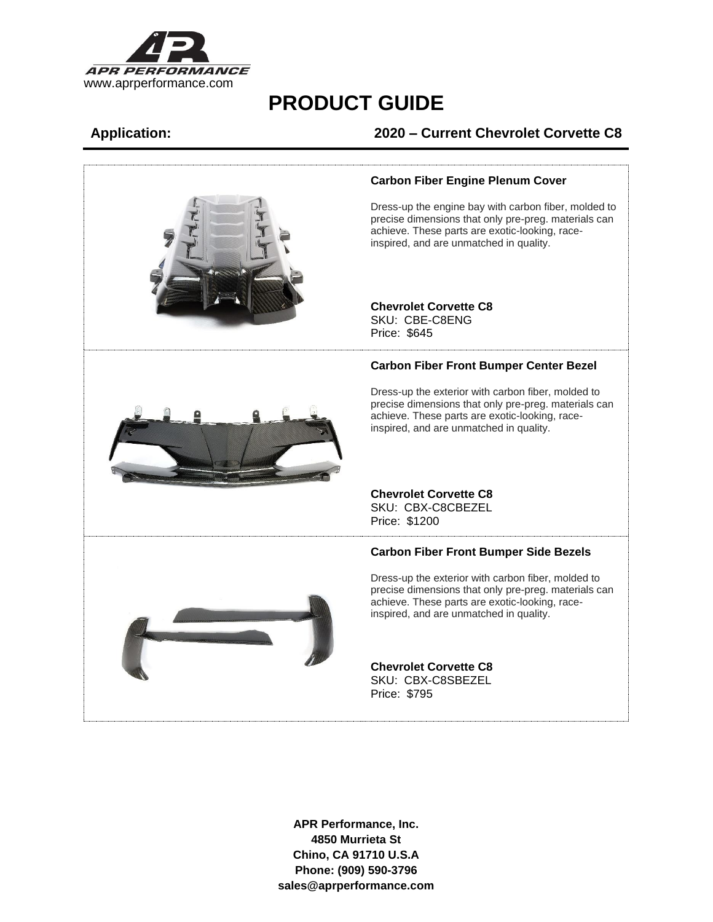

### **Application: 2020 – Current Chevrolet Corvette C8**